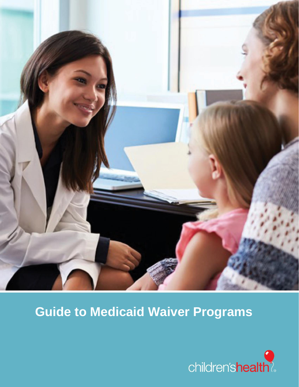

# **Guide to Medicaid Waiver Programs**

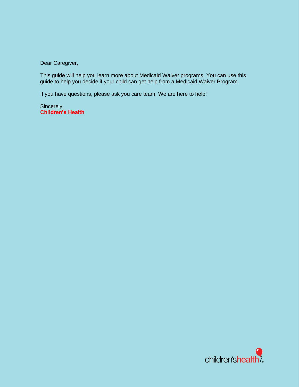Dear Caregiver,

This guide will help you learn more about Medicaid Waiver programs. You can use this guide to help you decide if your child can get help from a Medicaid Waiver Program.

If you have questions, please ask you care team. We are here to help!

Sincerely, **Children's Health**

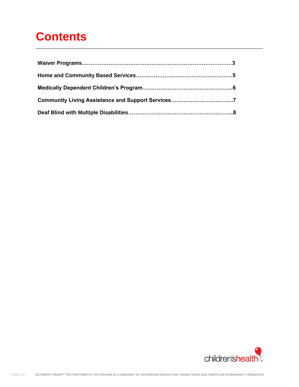### **Contents**

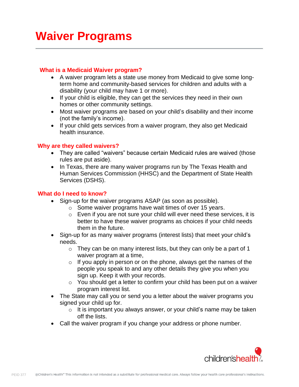### **Waiver Programs**

#### **What is a Medicaid Waiver program?**

- A waiver program lets a state use money from Medicaid to give some longterm home and community-based services for children and adults with a disability (your child may have 1 or more).
- If your child is eligible, they can get the services they need in their own homes or other community settings.
- Most waiver programs are based on your child's disability and their income (not the family's income).
- If your child gets services from a waiver program, they also get Medicaid health insurance.

#### **Why are they called waivers?**

- They are called "waivers" because certain Medicaid rules are waived (those rules are put aside).
- In Texas, there are many waiver programs run by The Texas Health and Human Services Commission (HHSC) and the Department of State Health Services (DSHS).

#### **What do I need to know?**

- Sign-up for the waiver programs ASAP (as soon as possible).
	- $\circ$  Some waiver programs have wait times of over 15 years.
	- o Even if you are not sure your child will ever need these services, it is better to have these waiver programs as choices if your child needs them in the future.
- Sign-up for as many waiver programs (interest lists) that meet your child's needs.
	- $\circ$  They can be on many interest lists, but they can only be a part of 1 waiver program at a time,
	- $\circ$  If you apply in person or on the phone, always get the names of the people you speak to and any other details they give you when you sign up. Keep it with your records.
	- o You should get a letter to confirm your child has been put on a waiver program interest list.
- The State may call you or send you a letter about the waiver programs you signed your child up for.
	- $\circ$  It is important you always answer, or your child's name may be taken off the lists.
- Call the waiver program if you change your address or phone number.

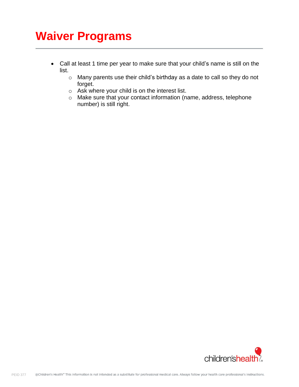### **Waiver Programs**

- Call at least 1 time per year to make sure that your child's name is still on the list.
	- o Many parents use their child's birthday as a date to call so they do not forget.
	- o Ask where your child is on the interest list.
	- o Make sure that your contact information (name, address, telephone number) is still right.

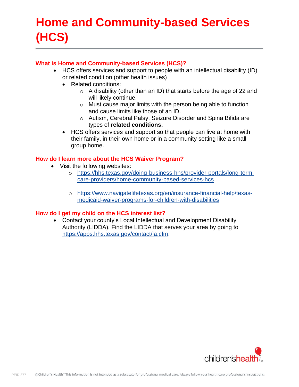## **Home and Community-based Services (HCS)**

#### **What is Home and Community-based Services (HCS)?**

- HCS offers services and support to people with an intellectual disability (ID) or related condition (other health issues)
	- Related conditions:
		- o A disability (other than an ID) that starts before the age of 22 and will likely continue.
		- o Must cause major limits with the person being able to function and cause limits like those of an ID.
		- o Autism, Cerebral Palsy, Seizure Disorder and Spina Bifida are types of **related conditions.**
	- HCS offers services and support so that people can live at home with their family, in their own home or in a community setting like a small group home.

#### **How do I learn more about the HCS Waiver Program?**

- Visit the following websites:
	- o [https://hhs.texas.gov/doing-business-hhs/provider-portals/long-term](https://hhs.texas.gov/doing-business-hhs/provider-portals/long-term-care-providers/home-community-based-services-hcs)[care-providers/home-community-based-services-hcs](https://hhs.texas.gov/doing-business-hhs/provider-portals/long-term-care-providers/home-community-based-services-hcs)
	- o [https://www.navigatelifetexas.org/en/insurance-financial-help/texas](https://www.navigatelifetexas.org/en/insurance-financial-help/texas-medicaid-waiver-programs-for-children-with-disabilities)[medicaid-waiver-programs-for-children-with-disabilities](https://www.navigatelifetexas.org/en/insurance-financial-help/texas-medicaid-waiver-programs-for-children-with-disabilities)

#### **How do I get my child on the HCS interest list?**

• Contact your county's Local Intellectual and Development Disability Authority (LIDDA). Find the LIDDA that serves your area by going to [https://apps.hhs.texas.gov/contact/la.cfm.](https://apps.hhs.texas.gov/contact/la.cfm)

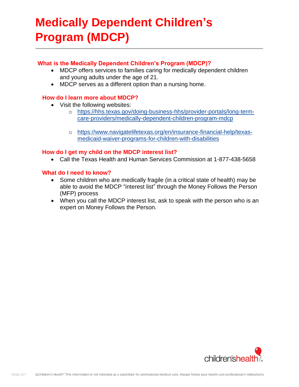### **Medically Dependent Children's Program (MDCP)**

#### **What is the Medically Dependent Children's Program (MDCP)?**

- MDCP offers services to families caring for medically dependent children and young adults under the age of 21.
- MDCP serves as a different option than a nursing home.

#### **How do I learn more about MDCP?**

- Visit the following websites:
	- o [https://hhs.texas.gov/doing-business-hhs/provider-portals/long-term](https://hhs.texas.gov/doing-business-hhs/provider-portals/long-term-care-providers/medically-dependent-children-program-mdcp)[care-providers/medically-dependent-children-program-mdcp](https://hhs.texas.gov/doing-business-hhs/provider-portals/long-term-care-providers/medically-dependent-children-program-mdcp)
	- o [https://www.navigatelifetexas.org/en/insurance-financial-help/texas](https://www.navigatelifetexas.org/en/insurance-financial-help/texas-medicaid-waiver-programs-for-children-with-disabilities)[medicaid-waiver-programs-for-children-with-disabilities](https://www.navigatelifetexas.org/en/insurance-financial-help/texas-medicaid-waiver-programs-for-children-with-disabilities)

#### **How do I get my child on the MDCP interest list?**

• Call the Texas Health and Human Services Commission at 1-877-438-5658

#### **What do I need to know?**

- Some children who are medically fragile (in a critical state of health) may be able to avoid the MDCP "interest list" through the Money Follows the Person (MFP) process
- When you call the MDCP interest list, ask to speak with the person who is an expert on Money Follows the Person.

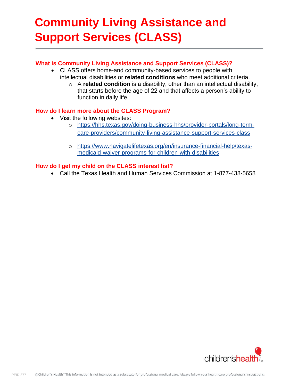## **Community Living Assistance and Support Services (CLASS)**

#### **What is Community Living Assistance and Support Services (CLASS)?**

- CLASS offers home-and community-based services to people with intellectual disabilities or **related conditions** who meet additional criteria.
	- o A **related condition** is a disability, other than an intellectual disability, that starts before the age of 22 and that affects a person's ability to function in daily life.

#### **How do I learn more about the CLASS Program?**

- Visit the following websites:
	- o [https://hhs.texas.gov/doing-business-hhs/provider-portals/long-term](https://hhs.texas.gov/doing-business-hhs/provider-portals/long-term-care-providers/community-living-assistance-support-services-class)[care-providers/community-living-assistance-support-services-class](https://hhs.texas.gov/doing-business-hhs/provider-portals/long-term-care-providers/community-living-assistance-support-services-class)
	- o [https://www.navigatelifetexas.org/en/insurance-financial-help/texas](https://www.navigatelifetexas.org/en/insurance-financial-help/texas-medicaid-waiver-programs-for-children-with-disabilities)[medicaid-waiver-programs-for-children-with-disabilities](https://www.navigatelifetexas.org/en/insurance-financial-help/texas-medicaid-waiver-programs-for-children-with-disabilities)

#### **How do I get my child on the CLASS interest list?**

• Call the Texas Health and Human Services Commission at 1-877-438-5658

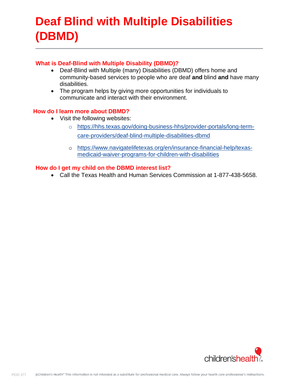### **Deaf Blind with Multiple Disabilities (DBMD)**

#### **What is Deaf-Blind with Multiple Disability (DBMD)?**

- Deaf-Blind with Multiple (many) Disabilities (DBMD) offers home and community-based services to people who are deaf **and** blind **and** have many disabilities.
- The program helps by giving more opportunities for individuals to communicate and interact with their environment.

#### **How do I learn more about DBMD?**

- Visit the following websites:
	- o [https://hhs.texas.gov/doing-business-hhs/provider-portals/long-term](https://hhs.texas.gov/doing-business-hhs/provider-portals/long-term-care-providers/deaf-blind-multiple-disabilities-dbmd)[care-providers/deaf-blind-multiple-disabilities-dbmd](https://hhs.texas.gov/doing-business-hhs/provider-portals/long-term-care-providers/deaf-blind-multiple-disabilities-dbmd)
	- o [https://www.navigatelifetexas.org/en/insurance-financial-help/texas](https://www.navigatelifetexas.org/en/insurance-financial-help/texas-medicaid-waiver-programs-for-children-with-disabilities)[medicaid-waiver-programs-for-children-with-disabilities](https://www.navigatelifetexas.org/en/insurance-financial-help/texas-medicaid-waiver-programs-for-children-with-disabilities)

#### **How do I get my child on the DBMD interest list?**

• Call the Texas Health and Human Services Commission at 1-877-438-5658.